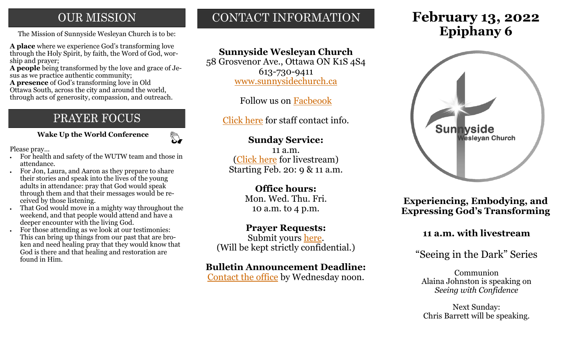## **OUR MISSION**

**A place** where we experience God's transforming love through the Holy Spirit, by faith, the Word of God, worship and prayer;

**A people** being transformed by the love and grace of Jesus as we practice authentic community;

**A presence** of God's transforming love in Old Ottawa South, across the city and around the world, through acts of generosity, compassion, and outreach.

# PRAYER FOCUS

 **Wake Up the World Conference**

 $\mathbb{Z}$ 

Please pray...

- For health and safety of the WUTW team and those in attendance.
- For Jon, Laura, and Aaron as they prepare to share their stories and speak into the lives of the young adults in attendance: pray that God would speak through them and that their messages would be received by those listening.
- That God would move in a mighty way throughout the weekend, and that people would attend and have a deeper encounter with the living God.
- For those attending as we look at our testimonies: This can bring up things from our past that are broken and need healing pray that they would know that God is there and that healing and restoration are found in Him.

# CONTACT INFORMATION

## **Sunnyside Wesleyan Church**

58 Grosvenor Ave., Ottawa ON K1S 4S4 613-730-9411 [www.sunnysidechurch.ca](http://www.sunnysidechurch.ca)

Follow us on [Facbeook](http://www.facebook.com/sunnysidewesleyanchurch)

[Click here](http://www.sunnysidechurch.ca/about-sunnyside/staff/) for staff contact info.

## **Sunday Service:**

11 a.m. [\(Click here](https://youtube.com/channel/UCYfl9Qy37Az7fqqFQpDEwjg) for livestream) Starting Feb. 20: 9 & 11 a.m.

## **Office hours:**

Mon. Wed. Thu. Fri. 10 a.m. to 4 p.m.

## **Prayer Requests:**

Submit yours [here.](mailto:prayer@sunnysidechurch.ca) (Will be kept strictly confidential.)

## **Bulletin Announcement Deadline:**

[Contact the office](mailto:office@sunnysidechurch.ca) by Wednesday noon.

# **February 13, 2022** The Mission of Sunnyside Wesleyan Church is to be: **Epiphany 6**



**Experiencing, Embodying, and Expressing God's Transforming** 

## **11 a.m. with livestream**

## "Seeing in the Dark" Series

Communion Alaina Johnston is speaking on *Seeing with Confidence*

Next Sunday: Chris Barrett will be speaking.